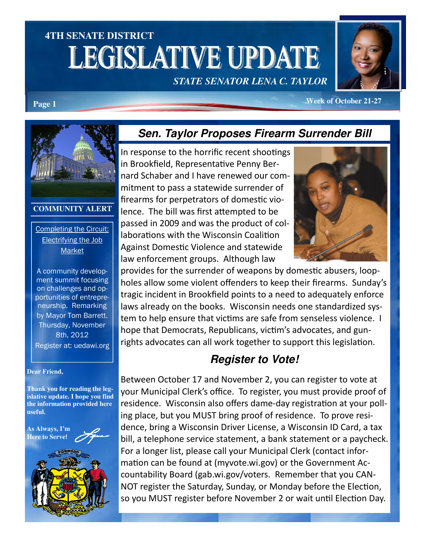# **4TH SENATE DISTRICT LEGISLATIVE UPDATE**

*STATE SENATOR LENA C. TAYLOR* 



**Page 1** *Week of October 21-27* 



#### **COMMUNITY ALERT**

#### Completing the Circuit: Electrifying the Job Market

A community development summit focusing on challenges and opportunities of entrepreneurship. Remarking by Mayor Tom Barrett. Thursday, November 8th, 2012 Register at: uedawi.org

#### **Dear Friend,**

**Thank you for reading the legislative update. I hope you find the information provided here useful.** 



# **Sen. Taylor Proposes Firearm Surrender Bill**

In response to the horrific recent shootings in Brookfield, Representative Penny Bernard Schaber and I have renewed our commitment to pass a statewide surrender of firearms for perpetrators of domestic violence. The bill was first attempted to be passed in 2009 and was the product of collaborations with the Wisconsin Coalition Against Domestic Violence and statewide law enforcement groups. Although law



provides for the surrender of weapons by domestic abusers, loopholes allow some violent offenders to keep their firearms. Sunday's tragic incident in Brookfield points to a need to adequately enforce laws already on the books. Wisconsin needs one standardized system to help ensure that victims are safe from senseless violence. I hope that Democrats, Republicans, victim's advocates, and gunrights advocates can all work together to support this legislation.

### **Register to Vote!**

Between October 17 and November 2, you can register to vote at your Municipal Clerk's office. To register, you must provide proof of residence. Wisconsin also offers dame-day registration at your polling place, but you MUST bring proof of residence. To prove residence, bring a Wisconsin Driver License, a Wisconsin ID Card, a tax bill, a telephone service statement, a bank statement or a paycheck. For a longer list, please call your Municipal Clerk (contact information can be found at (myvote.wi.gov) or the Government Accountability Board (gab.wi.gov/voters. Remember that you CAN-NOT register the Saturday, Sunday, or Monday before the Election, so you MUST register before November 2 or wait until Election Day.